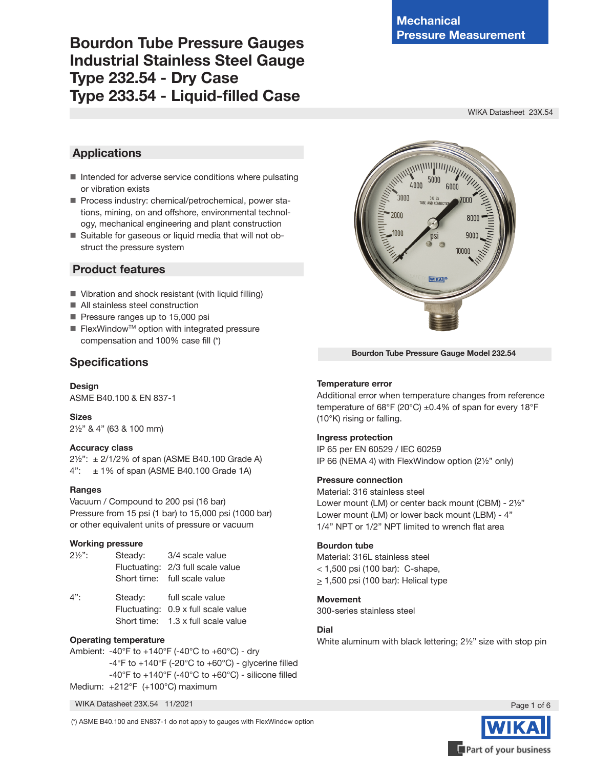# **Bourdon Tube Pressure Gauges Industrial Stainless Steel Gauge Type 232.54 - Dry Case Type 233.54 - Liquid-filled Case**

WIKA Datasheet 23X.54

# **Applications**

- $\blacksquare$  Intended for adverse service conditions where pulsating or vibration exists
- **Process industry: chemical/petrochemical, power sta**tions, mining, on and offshore, environmental technology, mechanical engineering and plant construction
- Suitable for gaseous or liquid media that will not obstruct the pressure system

# **Product features**

- Vibration and shock resistant (with liquid filling)
- All stainless steel construction
- Pressure ranges up to 15,000 psi
- $\blacksquare$  FlexWindow<sup>™</sup> option with integrated pressure compensation and 100% case fill (\*)

# **Specifications**

**Design** ASME B40.100 & EN 837-1

# **Sizes**

2½" & 4" (63 & 100 mm)

# **Accuracy class**

2½": ± 2/1/2% of span (ASME B40.100 Grade A)  $4"$ :  $\pm$  1% of span (ASME B40.100 Grade 1A)

# **Ranges**

Vacuum / Compound to 200 psi (16 bar) Pressure from 15 psi (1 bar) to 15,000 psi (1000 bar) or other equivalent units of pressure or vacuum

# **Working pressure**

| $2\frac{1}{2}$ . | Steady: | 3/4 scale value                   |
|------------------|---------|-----------------------------------|
|                  |         | Fluctuating: 2/3 full scale value |
|                  |         | Short time: full scale value      |

| 4": | Steady:     | full scale value                    |
|-----|-------------|-------------------------------------|
|     |             | Fluctuating: 0.9 x full scale value |
|     | Short time: | 1.3 x full scale value              |

# **Operating temperature**

Ambient: -40°F to +140°F (-40°C to +60°C) - dry  $-4^{\circ}$ F to  $+140^{\circ}$ F (-20 $^{\circ}$ C to  $+60^{\circ}$ C) - glycerine filled -40°F to +140°F (-40°C to +60°C) - silicone filled Medium: +212°F (+100°C) maximum



(\*) ASME B40.100 and EN837-1 do not apply to gauges with FlexWindow option



**Bourdon Tube Pressure Gauge Model 232.54**

# **Temperature error**

Additional error when temperature changes from reference temperature of 68°F (20°C)  $\pm$ 0.4% of span for every 18°F (10°K) rising or falling.

# **Ingress protection**

IP 65 per EN 60529 / IEC 60259 IP 66 (NEMA 4) with FlexWindow option (2½" only)

# **Pressure connection**

Material: 316 stainless steel

Lower mount (LM) or center back mount (CBM) - 2½" Lower mount (LM) or lower back mount (LBM) - 4" 1/4" NPT or 1/2" NPT limited to wrench flat area

# **Bourdon tube**

Material: 316L stainless steel < 1,500 psi (100 bar): C-shape,  $\geq$  1,500 psi (100 bar): Helical type

# **Movement**

300-series stainless steel

# **Dial**

White aluminum with black lettering; 2½" size with stop pin

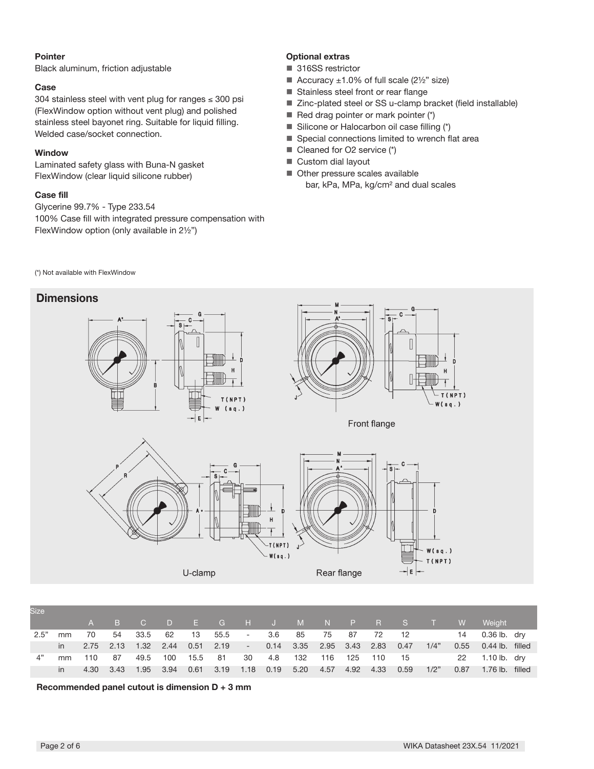#### **Pointer**

Black aluminum, friction adjustable

#### **Case**

304 stainless steel with vent plug for ranges ≤ 300 psi (FlexWindow option without vent plug) and polished stainless steel bayonet ring. Suitable for liquid filling. Welded case/socket connection.

# **Window**

Laminated safety glass with Buna-N gasket FlexWindow (clear liquid silicone rubber)

## **Case fill**

Glycerine 99.7% - Type 233.54 100% Case fill with integrated pressure compensation with FlexWindow option (only available in 2½")

# **Optional extras**

- 316SS restrictor
- Accuracy  $\pm 1.0\%$  of full scale (2½" size)
- Stainless steel front or rear flange
- Zinc-plated steel or SS u-clamp bracket (field installable)
- Red drag pointer or mark pointer  $(*)$
- Silicone or Halocarbon oil case filling (\*)
- Special connections limited to wrench flat area
- Cleaned for O2 service (\*)
- Custom dial layout
- Other pressure scales available bar, kPa, MPa, kg/cm² and dual scales

(\*) Not available with FlexWindow

# **Dimensions**



| <b>Size</b> |              |  |  |                               |  |                                                                       |  |      |      |                                                           |  |
|-------------|--------------|--|--|-------------------------------|--|-----------------------------------------------------------------------|--|------|------|-----------------------------------------------------------|--|
|             |              |  |  |                               |  |                                                                       |  |      |      | A B C D E G H J M N P R S T W Weight                      |  |
| 2.5"        | mm 70        |  |  |                               |  |                                                                       |  |      |      | 54 33.5 62 13 55.5 - 3.6 85 75 87 72 12 - 14 0.36 lb. dry |  |
|             |              |  |  |                               |  | in 2.75 2.13 1.32 2.44 0.51 2.19 - 0.14 3.35 2.95 3.43 2.83 0.47 1/4" |  |      |      | 0.55 0.44 lb. filled                                      |  |
|             |              |  |  | 4" mm 110 87 49.5 100 15.5 81 |  |                                                                       |  |      |      | 30 4.8 132 116 125 110 15 22 1.10 lb. dry                 |  |
|             | $\mathsf{I}$ |  |  |                               |  | 4.30 3.43 1.95 3.94 0.61 3.19 1.18 0.19 5.20 4.57 4.92 4.33           |  | 0.59 | 1/2" | 0.87 1.76 lb. filled                                      |  |

**Recommended panel cutout is dimension D + 3 mm**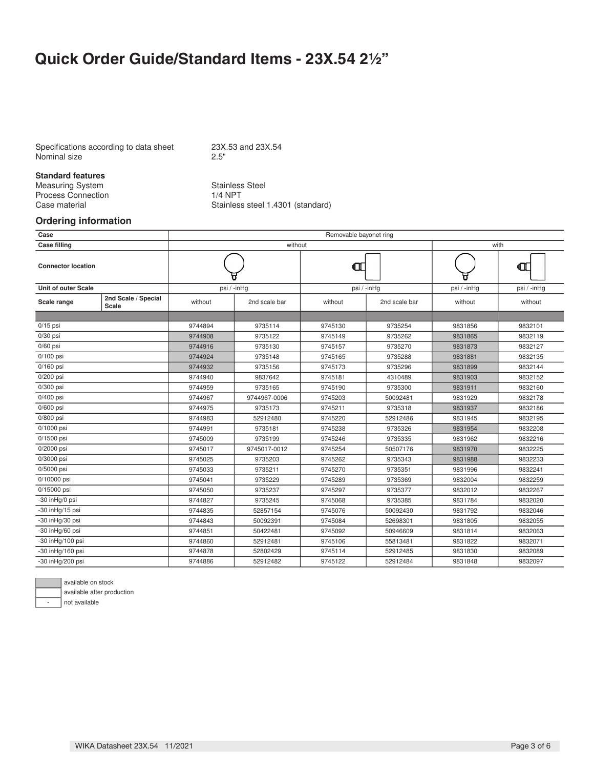# **Quick Order Guide/Standard Items - 23X.54 21/2"**

Specifications according to data sheet 23X.53 and 23X.54<br>Nominal size 2.5" Nominal size

# **Standard features**

Measuring System Stainless Steel<br>Process Connection 1/4 NPT Process Connection<br>Case material

Stainless steel 1.4301 (standard)

#### **Ordering information**

|         |                                          | with                                                                          |                                                                           |                                                                                                              |                                          |  |  |
|---------|------------------------------------------|-------------------------------------------------------------------------------|---------------------------------------------------------------------------|--------------------------------------------------------------------------------------------------------------|------------------------------------------|--|--|
|         |                                          |                                                                               |                                                                           |                                                                                                              | đΤ                                       |  |  |
|         |                                          |                                                                               |                                                                           | psi / -inHg                                                                                                  | psi / -inHg                              |  |  |
| without | 2nd scale bar                            | without                                                                       | 2nd scale bar                                                             | without                                                                                                      | without                                  |  |  |
|         |                                          |                                                                               |                                                                           |                                                                                                              |                                          |  |  |
|         |                                          |                                                                               |                                                                           |                                                                                                              | 9832101                                  |  |  |
|         |                                          |                                                                               |                                                                           |                                                                                                              | 9832119                                  |  |  |
|         |                                          |                                                                               |                                                                           |                                                                                                              | 9832127                                  |  |  |
| 9744924 |                                          |                                                                               |                                                                           | 9831881                                                                                                      | 9832135                                  |  |  |
| 9744932 |                                          |                                                                               |                                                                           |                                                                                                              | 9832144                                  |  |  |
|         |                                          |                                                                               |                                                                           | 9831903                                                                                                      | 9832152                                  |  |  |
| 9744959 | 9735165                                  | 9745190                                                                       | 9735300                                                                   | 9831911                                                                                                      | 9832160                                  |  |  |
| 9744967 | 9744967-0006                             | 9745203                                                                       | 50092481                                                                  | 9831929                                                                                                      | 9832178                                  |  |  |
| 9744975 | 9735173                                  | 9745211                                                                       | 9735318                                                                   | 9831937                                                                                                      | 9832186                                  |  |  |
| 9744983 | 52912480                                 | 9745220                                                                       | 52912486                                                                  | 9831945                                                                                                      | 9832195                                  |  |  |
| 9744991 | 9735181                                  | 9745238                                                                       | 9735326                                                                   | 9831954                                                                                                      | 9832208                                  |  |  |
| 9745009 | 9735199                                  | 9745246                                                                       | 9735335                                                                   | 9831962                                                                                                      | 9832216                                  |  |  |
| 9745017 | 9745017-0012                             | 9745254                                                                       | 50507176                                                                  | 9831970                                                                                                      | 9832225                                  |  |  |
| 9745025 | 9735203                                  | 9745262                                                                       | 9735343                                                                   | 9831988                                                                                                      | 9832233                                  |  |  |
| 9745033 | 9735211                                  | 9745270                                                                       | 9735351                                                                   | 9831996                                                                                                      | 9832241                                  |  |  |
| 9745041 | 9735229                                  | 9745289                                                                       | 9735369                                                                   | 9832004                                                                                                      | 9832259                                  |  |  |
| 9745050 | 9735237                                  | 9745297                                                                       | 9735377                                                                   | 9832012                                                                                                      | 9832267                                  |  |  |
| 9744827 | 9735245                                  | 9745068                                                                       | 9735385                                                                   | 9831784                                                                                                      | 9832020                                  |  |  |
| 9744835 | 52857154                                 | 9745076                                                                       | 50092430                                                                  | 9831792                                                                                                      | 9832046                                  |  |  |
| 9744843 | 50092391                                 | 9745084                                                                       | 52698301                                                                  | 9831805                                                                                                      | 9832055                                  |  |  |
| 9744851 | 50422481                                 | 9745092                                                                       | 50946609                                                                  | 9831814                                                                                                      | 9832063                                  |  |  |
| 9744860 | 52912481                                 | 9745106                                                                       | 55813481                                                                  | 9831822                                                                                                      | 9832071                                  |  |  |
| 9744878 | 52802429                                 | 9745114                                                                       | 52912485                                                                  | 9831830                                                                                                      | 9832089                                  |  |  |
| 9744886 | 52912482                                 | 9745122                                                                       | 52912484                                                                  | 9831848                                                                                                      | 9832097                                  |  |  |
|         | 9744894<br>9744908<br>9744916<br>9744940 | psi / -inHg<br>9735114<br>9735122<br>9735130<br>9735148<br>9735156<br>9837642 | without<br>9745130<br>9745149<br>9745157<br>9745165<br>9745173<br>9745181 | Removable bayonet ring<br>Œ<br>psi / -inHg<br>9735254<br>9735262<br>9735270<br>9735288<br>9735296<br>4310489 | 9831856<br>9831865<br>9831873<br>9831899 |  |  |



available on stock

available after production

not available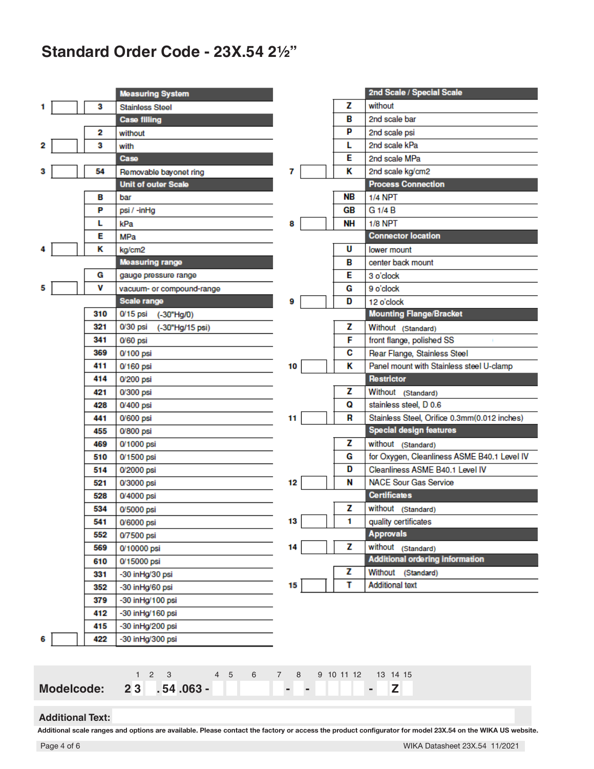# **Standard Order Code - 23X.54 21/2"**

|   |     | <b>Measuring System</b>     |
|---|-----|-----------------------------|
| 1 | 3   | <b>Stainless Steel</b>      |
|   |     | <b>Case filling</b>         |
|   | 2   | without                     |
| 2 | 3   | with                        |
|   |     | Case                        |
| 3 | 54  | Removable bayonet ring      |
|   |     | <b>Unit of outer Scale</b>  |
|   | в   | bar                         |
|   | P   | psi / -inHg                 |
|   | L   | kPa                         |
|   | Е   | MPa                         |
| 4 | κ   | kg/cm2                      |
|   |     | <b>Measuring range</b>      |
|   | G   | gauge pressure range        |
| 5 | v   | vacuum- or compound-range   |
|   |     | Scale range                 |
|   | 310 | 0/15 psi<br>(-30"Hg/0)      |
|   | 321 | 0/30 psi<br>(-30"Hg/15 psi) |
|   | 341 | 0/60 psi                    |
|   | 369 | 0/100 psi                   |
|   | 411 | 0/160 psi                   |
|   | 414 | 0/200 psi                   |
|   | 421 | 0/300 psi                   |
|   | 428 | 0/400 psi                   |
|   | 441 | 0/600 psi                   |
|   | 455 | 0/800 psi                   |
|   | 469 | 0/1000 psi                  |
|   | 510 | 0/1500 psi                  |
|   | 514 | 0/2000 psi                  |
|   | 521 | 0/3000 psi                  |
|   | 528 | 0/4000 psi                  |
|   | 534 | 0/5000 psi                  |
|   | 541 | 0/6000 psi                  |
|   | 552 | 0/7500 psi                  |
|   | 569 | 0/10000 psi                 |
|   | 610 | 0/15000 psi                 |
|   | 331 | -30 in Hg/30 psi            |
|   | 352 | -30 in Hg/60 psi            |
|   | 379 | -30 in Hg/100 psi           |
|   | 412 | -30 in Hg/160 psi           |
|   | 415 | -30 inHg/200 psi            |
| 6 | 422 | -30 inHg/300 psi            |
|   |     |                             |

|    |           | 2nd Scale / Special Scale                    |
|----|-----------|----------------------------------------------|
|    | Z         | without                                      |
|    | В         | 2nd scale bar                                |
|    | P         | 2nd scale psi                                |
|    | L         | 2nd scale kPa                                |
|    | Е         | 2nd scale MPa                                |
| 7  | ĸ         | 2nd scale kg/cm2                             |
|    |           | <b>Process Connection</b>                    |
|    | <b>NB</b> | <b>1/4 NPT</b>                               |
|    | GB        | G 1/4 B                                      |
| 8  | <b>NH</b> | <b>1/8 NPT</b>                               |
|    |           | <b>Connector location</b>                    |
|    | U         | lower mount                                  |
|    | В         | center back mount                            |
|    | E         | 3 o'clock                                    |
|    | G         | 9 o'clock                                    |
| 9  | D         | 12 o'clock                                   |
|    |           | <b>Mounting Flange/Bracket</b>               |
|    | z         | Without (Standard)                           |
|    | F         | front flange, polished SS                    |
|    | C         | Rear Flange, Stainless Steel                 |
| 10 | κ         | Panel mount with Stainless steel U-clamp     |
|    |           | <b>Restrictor</b>                            |
|    | z         | Without<br>(Standard)                        |
|    | Q         | stainless steel, D 0.6                       |
| 11 | R         | Stainless Steel, Orifice 0.3mm(0.012 inches) |
|    |           | <b>Special design features</b>               |
|    | z         | without (Standard)                           |
|    | G         | for Oxygen, Cleanliness ASME B40.1 Level IV  |
|    | D         | Cleanliness ASME B40.1 Level IV              |
| 12 | N         | <b>NACE Sour Gas Service</b>                 |
|    |           | <b>Certificates</b>                          |
|    | z         | without (Standard)                           |
| 13 | 1         | quality certificates                         |
|    |           | <b>Approvals</b>                             |
| 14 | z         | without<br>(Standard)                        |
|    |           | <b>Additional ordering information</b>       |
|    | z         | Without<br>(Standard)                        |
| 15 | т         | <b>Additional text</b>                       |

|                                                        |  | 1 2 3 4 5 6 7 8 9 10 11 12 13 14 15 |  |  |  |  |  |  |  |
|--------------------------------------------------------|--|-------------------------------------|--|--|--|--|--|--|--|
| Modelcode: 23 .54.063 - Product 23 .54.063 - Product 2 |  |                                     |  |  |  |  |  |  |  |

#### **Additional Text:**

**Additional scale ranges and options are available. Please contact the factory or access the product configurator for model 23X.54 on the WIKA US website.**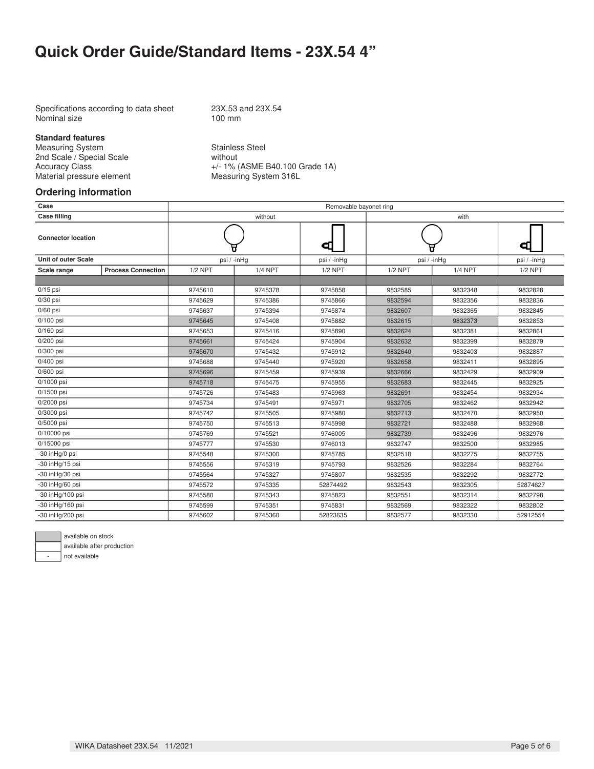# **Quick Order Guide/Standard Items - 23X.54 4"**

Specifications according to data sheet 23X.53 and 23X.54<br>Nominal size 100 mm Nominal size

**Standard features**

Measuring System<br>
2nd Scale / Special Scale<br>
2nd Scale / Special Scale<br>
3nd Scale<br>
3nd Scale<br>
3nd Scale<br>
3nd Scale<br>
3nd Scale<br>
3nd Scale<br>
3nd Scale<br>
3nd Scale<br>
3nd Scale<br>
3nd Scale<br>
3nd Scale<br>
3nd Scale<br>
3nd Scale<br>
3nd Sca 2nd Scale / Special Scale<br>Accuracy Class Material pressure element

+/- 1% (ASME B40.100 Grade 1A)<br>Measuring System 316L

# **Ordering information**

|                                         |           | without            |             | with      |                        |             |  |  |  |  |  |  |  |  |
|-----------------------------------------|-----------|--------------------|-------------|-----------|------------------------|-------------|--|--|--|--|--|--|--|--|
|                                         |           |                    | đΠ          |           |                        | Œ           |  |  |  |  |  |  |  |  |
|                                         |           |                    | psi / -inHg |           |                        | psi / -inHg |  |  |  |  |  |  |  |  |
| <b>Process Connection</b>               | $1/2$ NPT | <b>1/4 NPT</b>     | $1/2$ NPT   | $1/2$ NPT | <b>1/4 NPT</b>         | $1/2$ NPT   |  |  |  |  |  |  |  |  |
|                                         |           |                    |             |           |                        |             |  |  |  |  |  |  |  |  |
|                                         | 9745610   | 9745378            | 9745858     | 9832585   | 9832348                | 9832828     |  |  |  |  |  |  |  |  |
|                                         | 9745629   | 9745386            | 9745866     | 9832594   | 9832356                | 9832836     |  |  |  |  |  |  |  |  |
| $0/30$ psi<br>$0/60$ psi<br>$0/100$ psi |           | 9745394            | 9745874     | 9832607   | 9832365                | 9832845     |  |  |  |  |  |  |  |  |
|                                         | 9745645   | 9745408            | 9745882     | 9832615   | 9832373                | 9832853     |  |  |  |  |  |  |  |  |
|                                         | 9745653   | 9745416            | 9745890     | 9832624   | 9832381                | 9832861     |  |  |  |  |  |  |  |  |
|                                         | 9745661   | 9745424            | 9745904     | 9832632   | 9832399                | 9832879     |  |  |  |  |  |  |  |  |
|                                         | 9745670   | 9745432            | 9745912     | 9832640   | 9832403                | 9832887     |  |  |  |  |  |  |  |  |
|                                         | 9745688   | 9745440            | 9745920     | 9832658   | 9832411                | 9832895     |  |  |  |  |  |  |  |  |
| 0/400 psi<br>$0/600$ psi                |           | 9745459            | 9745939     | 9832666   | 9832429                | 9832909     |  |  |  |  |  |  |  |  |
|                                         | 9745718   | 9745475            | 9745955     | 9832683   | 9832445                | 9832925     |  |  |  |  |  |  |  |  |
|                                         | 9745726   | 9745483            | 9745963     | 9832691   | 9832454                | 9832934     |  |  |  |  |  |  |  |  |
|                                         | 9745734   | 9745491            | 9745971     | 9832705   | 9832462                | 9832942     |  |  |  |  |  |  |  |  |
|                                         | 9745742   | 9745505            | 9745980     | 9832713   | 9832470                | 9832950     |  |  |  |  |  |  |  |  |
|                                         | 9745750   | 9745513            | 9745998     | 9832721   | 9832488                | 9832968     |  |  |  |  |  |  |  |  |
|                                         | 9745769   | 9745521            | 9746005     | 9832739   | 9832496                | 9832976     |  |  |  |  |  |  |  |  |
|                                         | 9745777   | 9745530            | 9746013     | 9832747   | 9832500                | 9832985     |  |  |  |  |  |  |  |  |
|                                         | 9745548   | 9745300            | 9745785     | 9832518   | 9832275                | 9832755     |  |  |  |  |  |  |  |  |
|                                         | 9745556   | 9745319            | 9745793     | 9832526   | 9832284                | 9832764     |  |  |  |  |  |  |  |  |
|                                         | 9745564   | 9745327            | 9745807     | 9832535   | 9832292                | 9832772     |  |  |  |  |  |  |  |  |
|                                         | 9745572   | 9745335            | 52874492    | 9832543   | 9832305                | 52874627    |  |  |  |  |  |  |  |  |
|                                         | 9745580   | 9745343            | 9745823     | 9832551   | 9832314                | 9832798     |  |  |  |  |  |  |  |  |
|                                         | 9745599   | 9745351            | 9745831     | 9832569   | 9832322                | 9832802     |  |  |  |  |  |  |  |  |
|                                         | 9745602   | 9745360            | 52823635    | 9832577   | 9832330                | 52912554    |  |  |  |  |  |  |  |  |
|                                         |           | 9745637<br>9745696 | psi / -inHg |           | Removable bayonet ring | psi / -inHg |  |  |  |  |  |  |  |  |



available after production

not available

WIKA Datasheet 23X.54 · 11/2021 Page 5 of 6